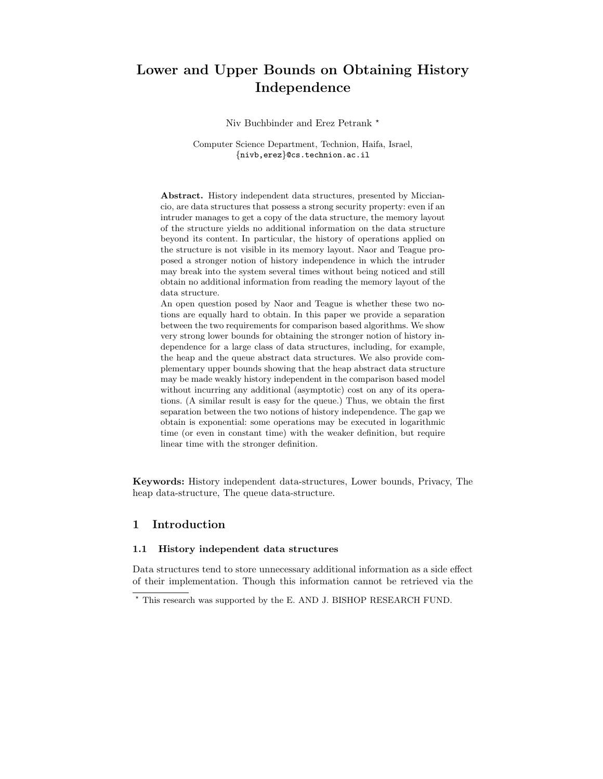# Lower and Upper Bounds on Obtaining History Independence

Niv Buchbinder and Erez Petrank  $*$ 

Computer Science Department, Technion, Haifa, Israel, {nivb,erez}@cs.technion.ac.il

Abstract. History independent data structures, presented by Micciancio, are data structures that possess a strong security property: even if an intruder manages to get a copy of the data structure, the memory layout of the structure yields no additional information on the data structure beyond its content. In particular, the history of operations applied on the structure is not visible in its memory layout. Naor and Teague proposed a stronger notion of history independence in which the intruder may break into the system several times without being noticed and still obtain no additional information from reading the memory layout of the data structure.

An open question posed by Naor and Teague is whether these two notions are equally hard to obtain. In this paper we provide a separation between the two requirements for comparison based algorithms. We show very strong lower bounds for obtaining the stronger notion of history independence for a large class of data structures, including, for example, the heap and the queue abstract data structures. We also provide complementary upper bounds showing that the heap abstract data structure may be made weakly history independent in the comparison based model without incurring any additional (asymptotic) cost on any of its operations. (A similar result is easy for the queue.) Thus, we obtain the first separation between the two notions of history independence. The gap we obtain is exponential: some operations may be executed in logarithmic time (or even in constant time) with the weaker definition, but require linear time with the stronger definition.

Keywords: History independent data-structures, Lower bounds, Privacy, The heap data-structure, The queue data-structure.

# 1 Introduction

#### 1.1 History independent data structures

Data structures tend to store unnecessary additional information as a side effect of their implementation. Though this information cannot be retrieved via the

<sup>?</sup> This research was supported by the E. AND J. BISHOP RESEARCH FUND.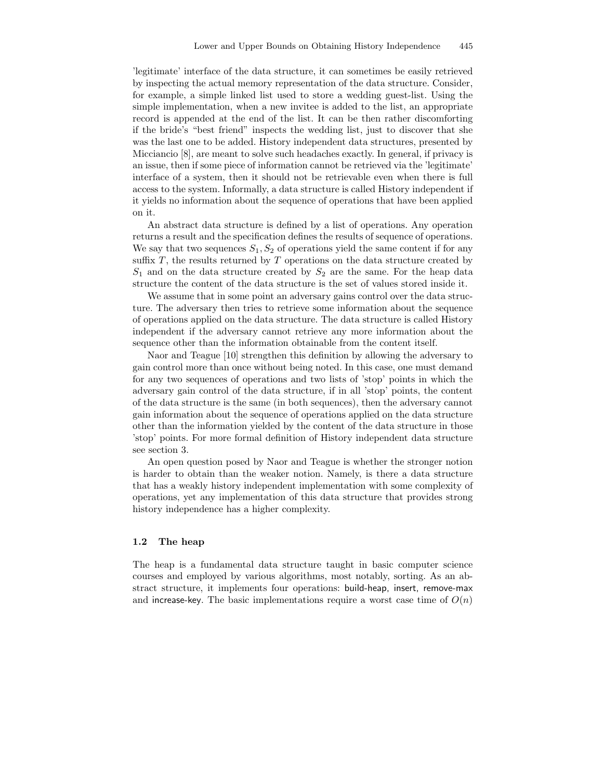'legitimate' interface of the data structure, it can sometimes be easily retrieved by inspecting the actual memory representation of the data structure. Consider, for example, a simple linked list used to store a wedding guest-list. Using the simple implementation, when a new invitee is added to the list, an appropriate record is appended at the end of the list. It can be then rather discomforting if the bride's "best friend" inspects the wedding list, just to discover that she was the last one to be added. History independent data structures, presented by Micciancio [8], are meant to solve such headaches exactly. In general, if privacy is an issue, then if some piece of information cannot be retrieved via the 'legitimate' interface of a system, then it should not be retrievable even when there is full access to the system. Informally, a data structure is called History independent if it yields no information about the sequence of operations that have been applied on it.

An abstract data structure is defined by a list of operations. Any operation returns a result and the specification defines the results of sequence of operations. We say that two sequences  $S_1, S_2$  of operations yield the same content if for any suffix  $T$ , the results returned by  $T$  operations on the data structure created by  $S_1$  and on the data structure created by  $S_2$  are the same. For the heap data structure the content of the data structure is the set of values stored inside it.

We assume that in some point an adversary gains control over the data structure. The adversary then tries to retrieve some information about the sequence of operations applied on the data structure. The data structure is called History independent if the adversary cannot retrieve any more information about the sequence other than the information obtainable from the content itself.

Naor and Teague [10] strengthen this definition by allowing the adversary to gain control more than once without being noted. In this case, one must demand for any two sequences of operations and two lists of 'stop' points in which the adversary gain control of the data structure, if in all 'stop' points, the content of the data structure is the same (in both sequences), then the adversary cannot gain information about the sequence of operations applied on the data structure other than the information yielded by the content of the data structure in those 'stop' points. For more formal definition of History independent data structure see section 3.

An open question posed by Naor and Teague is whether the stronger notion is harder to obtain than the weaker notion. Namely, is there a data structure that has a weakly history independent implementation with some complexity of operations, yet any implementation of this data structure that provides strong history independence has a higher complexity.

#### 1.2 The heap

The heap is a fundamental data structure taught in basic computer science courses and employed by various algorithms, most notably, sorting. As an abstract structure, it implements four operations: build-heap, insert, remove-max and increase-key. The basic implementations require a worst case time of  $O(n)$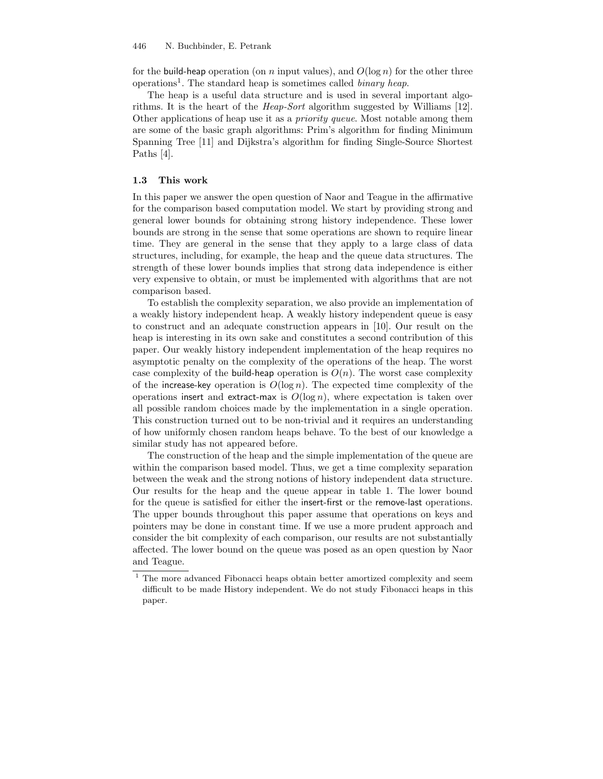for the build-heap operation (on n input values), and  $O(\log n)$  for the other three operations<sup>1</sup>. The standard heap is sometimes called *binary heap*.

The heap is a useful data structure and is used in several important algorithms. It is the heart of the Heap-Sort algorithm suggested by Williams [12]. Other applications of heap use it as a priority queue. Most notable among them are some of the basic graph algorithms: Prim's algorithm for finding Minimum Spanning Tree [11] and Dijkstra's algorithm for finding Single-Source Shortest Paths [4].

### 1.3 This work

In this paper we answer the open question of Naor and Teague in the affirmative for the comparison based computation model. We start by providing strong and general lower bounds for obtaining strong history independence. These lower bounds are strong in the sense that some operations are shown to require linear time. They are general in the sense that they apply to a large class of data structures, including, for example, the heap and the queue data structures. The strength of these lower bounds implies that strong data independence is either very expensive to obtain, or must be implemented with algorithms that are not comparison based.

To establish the complexity separation, we also provide an implementation of a weakly history independent heap. A weakly history independent queue is easy to construct and an adequate construction appears in [10]. Our result on the heap is interesting in its own sake and constitutes a second contribution of this paper. Our weakly history independent implementation of the heap requires no asymptotic penalty on the complexity of the operations of the heap. The worst case complexity of the build-heap operation is  $O(n)$ . The worst case complexity of the increase-key operation is  $O(\log n)$ . The expected time complexity of the operations insert and extract-max is  $O(\log n)$ , where expectation is taken over all possible random choices made by the implementation in a single operation. This construction turned out to be non-trivial and it requires an understanding of how uniformly chosen random heaps behave. To the best of our knowledge a similar study has not appeared before.

The construction of the heap and the simple implementation of the queue are within the comparison based model. Thus, we get a time complexity separation between the weak and the strong notions of history independent data structure. Our results for the heap and the queue appear in table 1. The lower bound for the queue is satisfied for either the insert-first or the remove-last operations. The upper bounds throughout this paper assume that operations on keys and pointers may be done in constant time. If we use a more prudent approach and consider the bit complexity of each comparison, our results are not substantially affected. The lower bound on the queue was posed as an open question by Naor and Teague.

<sup>&</sup>lt;sup>1</sup> The more advanced Fibonacci heaps obtain better amortized complexity and seem difficult to be made History independent. We do not study Fibonacci heaps in this paper.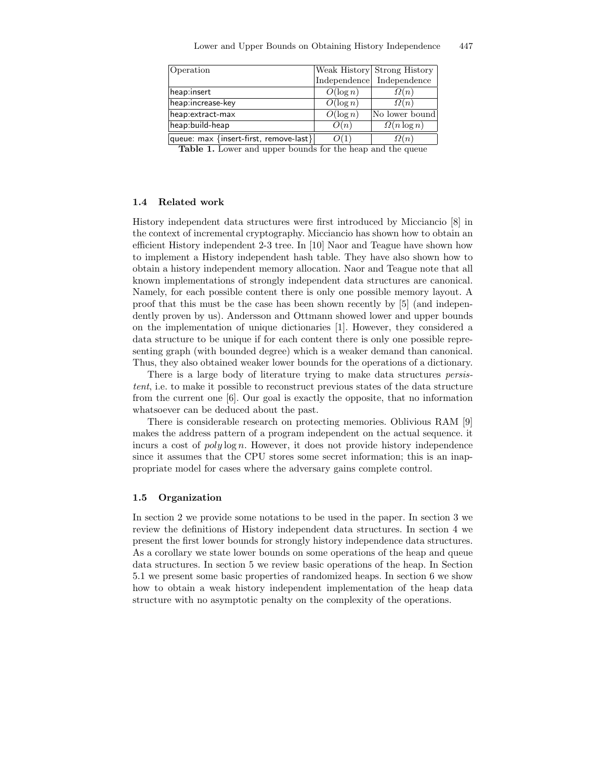| Operation                              |              | Weak History Strong History |
|----------------------------------------|--------------|-----------------------------|
|                                        | Independence | Independence                |
| heap:insert                            | $O(\log n)$  | $\Omega(n)$                 |
| heap:increase-key                      | $O(\log n)$  | $\Omega(n)$                 |
| heap:extract-max                       | $O(\log n)$  | No lower bound              |
| heap:build-heap                        | O(n)         | $\Omega(n \log n)$          |
| queue: max {insert-first, remove-last} |              | $\Omega(n)$                 |

Table 1. Lower and upper bounds for the heap and the queue

#### 1.4 Related work

History independent data structures were first introduced by Micciancio [8] in the context of incremental cryptography. Micciancio has shown how to obtain an efficient History independent 2-3 tree. In [10] Naor and Teague have shown how to implement a History independent hash table. They have also shown how to obtain a history independent memory allocation. Naor and Teague note that all known implementations of strongly independent data structures are canonical. Namely, for each possible content there is only one possible memory layout. A proof that this must be the case has been shown recently by [5] (and independently proven by us). Andersson and Ottmann showed lower and upper bounds on the implementation of unique dictionaries [1]. However, they considered a data structure to be unique if for each content there is only one possible representing graph (with bounded degree) which is a weaker demand than canonical. Thus, they also obtained weaker lower bounds for the operations of a dictionary.

There is a large body of literature trying to make data structures persistent, i.e. to make it possible to reconstruct previous states of the data structure from the current one [6]. Our goal is exactly the opposite, that no information whatsoever can be deduced about the past.

There is considerable research on protecting memories. Oblivious RAM [9] makes the address pattern of a program independent on the actual sequence. it incurs a cost of  $poly\log n$ . However, it does not provide history independence since it assumes that the CPU stores some secret information; this is an inappropriate model for cases where the adversary gains complete control.

## 1.5 Organization

In section 2 we provide some notations to be used in the paper. In section 3 we review the definitions of History independent data structures. In section 4 we present the first lower bounds for strongly history independence data structures. As a corollary we state lower bounds on some operations of the heap and queue data structures. In section 5 we review basic operations of the heap. In Section 5.1 we present some basic properties of randomized heaps. In section 6 we show how to obtain a weak history independent implementation of the heap data structure with no asymptotic penalty on the complexity of the operations.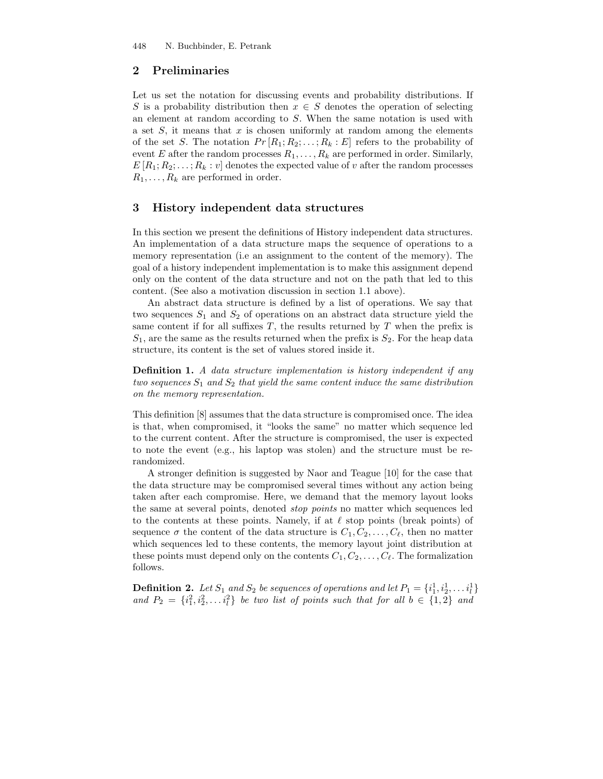# 2 Preliminaries

Let us set the notation for discussing events and probability distributions. If S is a probability distribution then  $x \in S$  denotes the operation of selecting an element at random according to S. When the same notation is used with a set  $S$ , it means that  $x$  is chosen uniformly at random among the elements of the set S. The notation  $Pr[R_1; R_2; \ldots; R_k : E]$  refers to the probability of event E after the random processes  $R_1, \ldots, R_k$  are performed in order. Similarly,  $E[R_1; R_2; \ldots; R_k : v]$  denotes the expected value of v after the random processes  $R_1, \ldots, R_k$  are performed in order.

## 3 History independent data structures

In this section we present the definitions of History independent data structures. An implementation of a data structure maps the sequence of operations to a memory representation (i.e an assignment to the content of the memory). The goal of a history independent implementation is to make this assignment depend only on the content of the data structure and not on the path that led to this content. (See also a motivation discussion in section 1.1 above).

An abstract data structure is defined by a list of operations. We say that two sequences  $S_1$  and  $S_2$  of operations on an abstract data structure yield the same content if for all suffixes  $T$ , the results returned by  $T$  when the prefix is  $S_1$ , are the same as the results returned when the prefix is  $S_2$ . For the heap data structure, its content is the set of values stored inside it.

Definition 1. A data structure implementation is history independent if any two sequences  $S_1$  and  $S_2$  that yield the same content induce the same distribution on the memory representation.

This definition [8] assumes that the data structure is compromised once. The idea is that, when compromised, it "looks the same" no matter which sequence led to the current content. After the structure is compromised, the user is expected to note the event (e.g., his laptop was stolen) and the structure must be rerandomized.

A stronger definition is suggested by Naor and Teague [10] for the case that the data structure may be compromised several times without any action being taken after each compromise. Here, we demand that the memory layout looks the same at several points, denoted stop points no matter which sequences led to the contents at these points. Namely, if at  $\ell$  stop points (break points) of sequence  $\sigma$  the content of the data structure is  $C_1, C_2, \ldots, C_{\ell}$ , then no matter which sequences led to these contents, the memory layout joint distribution at these points must depend only on the contents  $C_1, C_2, \ldots, C_{\ell}$ . The formalization follows.

**Definition 2.** Let  $S_1$  and  $S_2$  be sequences of operations and let  $P_1 = \{i_1^1, i_2^1, \ldots i_l^1\}$ and  $P_2 = \{i_1^2, i_2^2, \ldots, i_l^2\}$  be two list of points such that for all  $b \in \{1,2\}$  and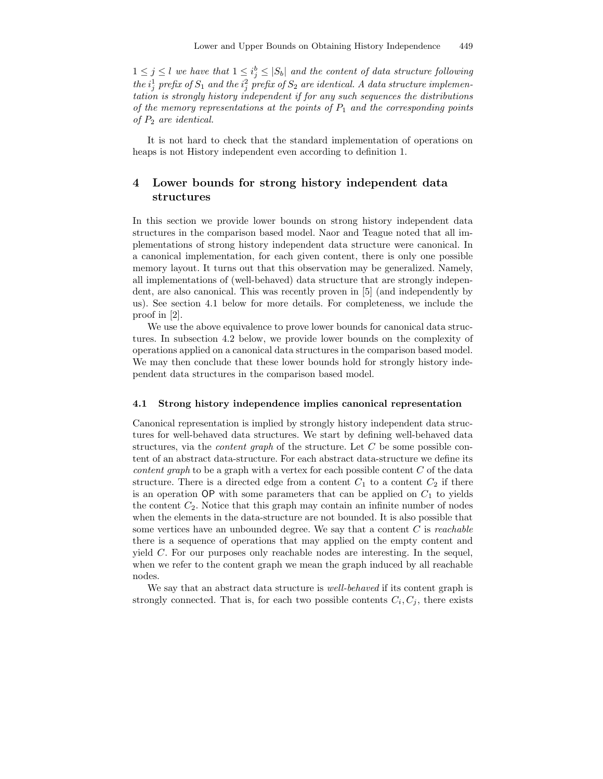$1 \leq j \leq l$  we have that  $1 \leq i_j^b \leq |S_b|$  and the content of data structure following the  $i_j^1$  prefix of  $S_1$  and the  $i_j^2$  prefix of  $S_2$  are identical. A data structure implementation is strongly history independent if for any such sequences the distributions of the memory representations at the points of  $P_1$  and the corresponding points of  $P_2$  are identical.

It is not hard to check that the standard implementation of operations on heaps is not History independent even according to definition 1.

# 4 Lower bounds for strong history independent data structures

In this section we provide lower bounds on strong history independent data structures in the comparison based model. Naor and Teague noted that all implementations of strong history independent data structure were canonical. In a canonical implementation, for each given content, there is only one possible memory layout. It turns out that this observation may be generalized. Namely, all implementations of (well-behaved) data structure that are strongly independent, are also canonical. This was recently proven in [5] (and independently by us). See section 4.1 below for more details. For completeness, we include the proof in [2].

We use the above equivalence to prove lower bounds for canonical data structures. In subsection 4.2 below, we provide lower bounds on the complexity of operations applied on a canonical data structures in the comparison based model. We may then conclude that these lower bounds hold for strongly history independent data structures in the comparison based model.

### 4.1 Strong history independence implies canonical representation

Canonical representation is implied by strongly history independent data structures for well-behaved data structures. We start by defining well-behaved data structures, via the *content graph* of the structure. Let  $C$  be some possible content of an abstract data-structure. For each abstract data-structure we define its *content graph* to be a graph with a vertex for each possible content  $C$  of the data structure. There is a directed edge from a content  $C_1$  to a content  $C_2$  if there is an operation  $\overline{OP}$  with some parameters that can be applied on  $C_1$  to yields the content  $C_2$ . Notice that this graph may contain an infinite number of nodes when the elements in the data-structure are not bounded. It is also possible that some vertices have an unbounded degree. We say that a content  $C$  is reachable there is a sequence of operations that may applied on the empty content and yield C. For our purposes only reachable nodes are interesting. In the sequel, when we refer to the content graph we mean the graph induced by all reachable nodes.

We say that an abstract data structure is *well-behaved* if its content graph is strongly connected. That is, for each two possible contents  $C_i, C_j$ , there exists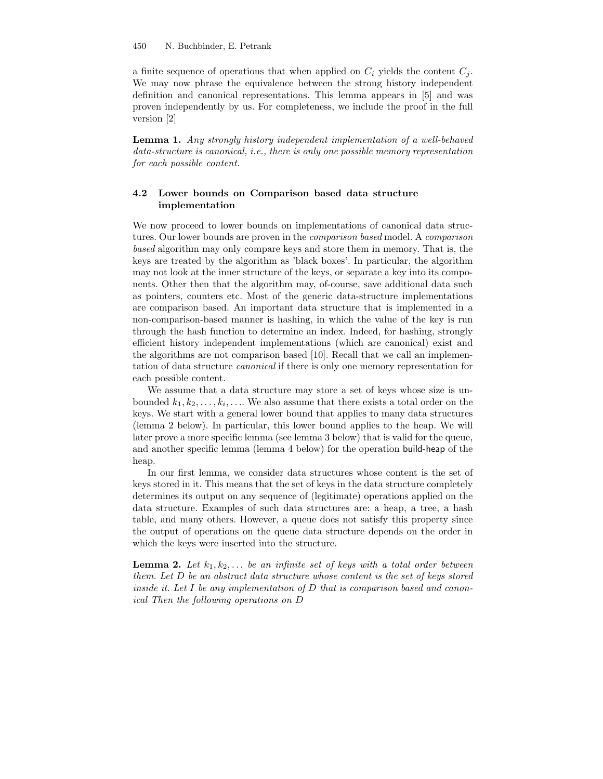a finite sequence of operations that when applied on  $C_i$  yields the content  $C_i$ . We may now phrase the equivalence between the strong history independent definition and canonical representations. This lemma appears in [5] and was proven independently by us. For completeness, we include the proof in the full version [2]

Lemma 1. Any strongly history independent implementation of a well-behaved data-structure is canonical, i.e., there is only one possible memory representation for each possible content.

## 4.2 Lower bounds on Comparison based data structure implementation

We now proceed to lower bounds on implementations of canonical data structures. Our lower bounds are proven in the comparison based model. A comparison based algorithm may only compare keys and store them in memory. That is, the keys are treated by the algorithm as 'black boxes'. In particular, the algorithm may not look at the inner structure of the keys, or separate a key into its components. Other then that the algorithm may, of-course, save additional data such as pointers, counters etc. Most of the generic data-structure implementations are comparison based. An important data structure that is implemented in a non-comparison-based manner is hashing, in which the value of the key is run through the hash function to determine an index. Indeed, for hashing, strongly efficient history independent implementations (which are canonical) exist and the algorithms are not comparison based [10]. Recall that we call an implementation of data structure canonical if there is only one memory representation for each possible content.

We assume that a data structure may store a set of keys whose size is unbounded  $k_1, k_2, \ldots, k_i, \ldots$  We also assume that there exists a total order on the keys. We start with a general lower bound that applies to many data structures (lemma 2 below). In particular, this lower bound applies to the heap. We will later prove a more specific lemma (see lemma 3 below) that is valid for the queue, and another specific lemma (lemma 4 below) for the operation build-heap of the heap.

In our first lemma, we consider data structures whose content is the set of keys stored in it. This means that the set of keys in the data structure completely determines its output on any sequence of (legitimate) operations applied on the data structure. Examples of such data structures are: a heap, a tree, a hash table, and many others. However, a queue does not satisfy this property since the output of operations on the queue data structure depends on the order in which the keys were inserted into the structure.

**Lemma 2.** Let  $k_1, k_2, \ldots$  be an infinite set of keys with a total order between them. Let D be an abstract data structure whose content is the set of keys stored inside it. Let  $I$  be any implementation of  $D$  that is comparison based and canonical Then the following operations on D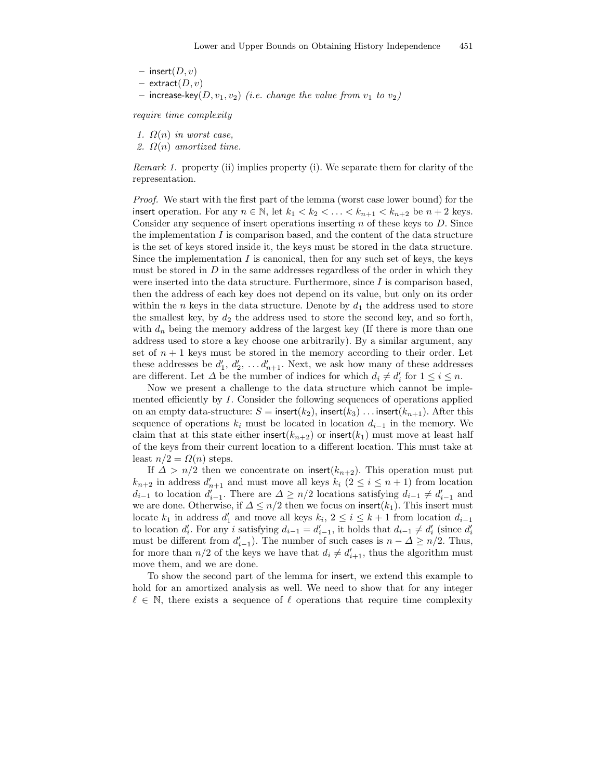- insert(D, v)  
- extract(D, v)  
- increase-key(D, 
$$
v_1, v_2
$$
) (*i.e.* change the value from  $v_1$  to  $v_2$ )

require time complexity

1.  $\Omega(n)$  in worst case,

2.  $\Omega(n)$  amortized time.

Remark 1. property (ii) implies property (i). We separate them for clarity of the representation.

Proof. We start with the first part of the lemma (worst case lower bound) for the insert operation. For any  $n \in \mathbb{N}$ , let  $k_1 < k_2 < \ldots < k_{n+1} < k_{n+2}$  be  $n+2$  keys. Consider any sequence of insert operations inserting  $n$  of these keys to  $D$ . Since the implementation  $I$  is comparison based, and the content of the data structure is the set of keys stored inside it, the keys must be stored in the data structure. Since the implementation  $I$  is canonical, then for any such set of keys, the keys must be stored in  $D$  in the same addresses regardless of the order in which they were inserted into the data structure. Furthermore, since  $I$  is comparison based, then the address of each key does not depend on its value, but only on its order within the *n* keys in the data structure. Denote by  $d_1$  the address used to store the smallest key, by  $d_2$  the address used to store the second key, and so forth, with  $d_n$  being the memory address of the largest key (If there is more than one address used to store a key choose one arbitrarily). By a similar argument, any set of  $n + 1$  keys must be stored in the memory according to their order. Let these addresses be  $d'_1, d'_2, \ldots, d'_{n+1}$ . Next, we ask how many of these addresses are different. Let  $\Delta$  be the number of indices for which  $d_i \neq d'_i$  for  $1 \leq i \leq n$ .

Now we present a challenge to the data structure which cannot be implemented efficiently by I. Consider the following sequences of operations applied on an empty data-structure:  $S =$  insert $(k_2)$ , insert $(k_3)$ ... insert $(k_{n+1})$ . After this sequence of operations  $k_i$  must be located in location  $d_{i-1}$  in the memory. We claim that at this state either insert( $k_{n+2}$ ) or insert( $k_1$ ) must move at least half of the keys from their current location to a different location. This must take at least  $n/2 = \Omega(n)$  steps.

If  $\Delta > n/2$  then we concentrate on insert $(k_{n+2})$ . This operation must put  $k_{n+2}$  in address  $d'_{n+1}$  and must move all keys  $k_i$   $(2 \leq i \leq n+1)$  from location  $d_{i-1}$  to location  $d'_{i-1}$ . There are  $\Delta \geq n/2$  locations satisfying  $d_{i-1} \neq d'_{i-1}$  and we are done. Otherwise, if  $\Delta \leq n/2$  then we focus on insert $(k_1)$ . This insert must locate  $k_1$  in address  $d'_1$  and move all keys  $k_i$ ,  $2 \le i \le k+1$  from location  $d_{i-1}$ to location  $d'_i$ . For any i satisfying  $d_{i-1} = d'_{i-1}$ , it holds that  $d_{i-1} \neq d'_{i}$  (since  $d'_{i}$ must be different from  $d'_{i-1}$ ). The number of such cases is  $n - \Delta \geq n/2$ . Thus, for more than  $n/2$  of the keys we have that  $d_i \neq d'_{i+1}$ , thus the algorithm must move them, and we are done.

To show the second part of the lemma for insert, we extend this example to hold for an amortized analysis as well. We need to show that for any integer  $\ell \in \mathbb{N}$ , there exists a sequence of  $\ell$  operations that require time complexity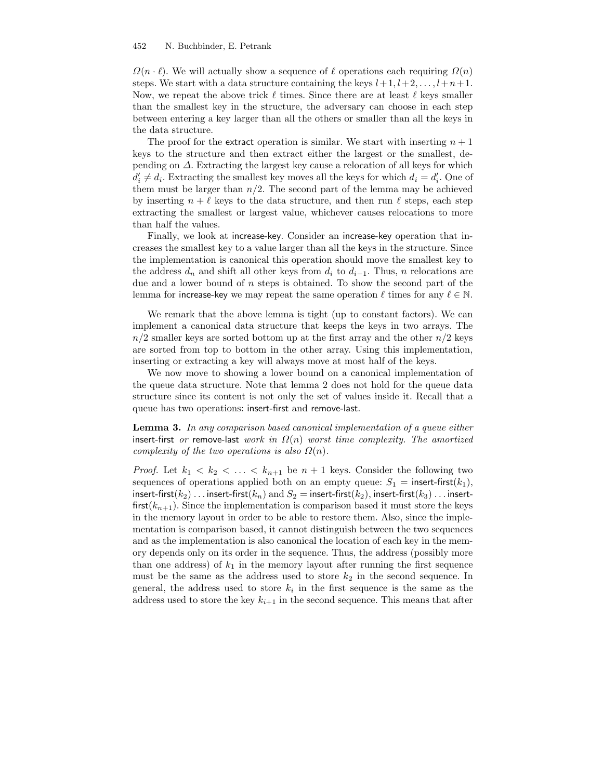$\Omega(n \cdot \ell)$ . We will actually show a sequence of  $\ell$  operations each requiring  $\Omega(n)$ steps. We start with a data structure containing the keys  $l+1, l+2, \ldots, l+n+1$ . Now, we repeat the above trick  $\ell$  times. Since there are at least  $\ell$  keys smaller than the smallest key in the structure, the adversary can choose in each step between entering a key larger than all the others or smaller than all the keys in the data structure.

The proof for the extract operation is similar. We start with inserting  $n + 1$ keys to the structure and then extract either the largest or the smallest, depending on  $\Delta$ . Extracting the largest key cause a relocation of all keys for which  $d'_i \neq d_i$ . Extracting the smallest key moves all the keys for which  $d_i = d'_i$ . One of them must be larger than  $n/2$ . The second part of the lemma may be achieved by inserting  $n + \ell$  keys to the data structure, and then run  $\ell$  steps, each step extracting the smallest or largest value, whichever causes relocations to more than half the values.

Finally, we look at increase-key. Consider an increase-key operation that increases the smallest key to a value larger than all the keys in the structure. Since the implementation is canonical this operation should move the smallest key to the address  $d_n$  and shift all other keys from  $d_i$  to  $d_{i-1}$ . Thus, n relocations are due and a lower bound of  $n$  steps is obtained. To show the second part of the lemma for increase-key we may repeat the same operation  $\ell$  times for any  $\ell \in \mathbb{N}$ .

We remark that the above lemma is tight (up to constant factors). We can implement a canonical data structure that keeps the keys in two arrays. The  $n/2$  smaller keys are sorted bottom up at the first array and the other  $n/2$  keys are sorted from top to bottom in the other array. Using this implementation, inserting or extracting a key will always move at most half of the keys.

We now move to showing a lower bound on a canonical implementation of the queue data structure. Note that lemma 2 does not hold for the queue data structure since its content is not only the set of values inside it. Recall that a queue has two operations: insert-first and remove-last.

Lemma 3. In any comparison based canonical implementation of a queue either insert-first or remove-last work in  $\Omega(n)$  worst time complexity. The amortized complexity of the two operations is also  $\Omega(n)$ .

*Proof.* Let  $k_1 < k_2 < \ldots < k_{n+1}$  be  $n+1$  keys. Consider the following two sequences of operations applied both on an empty queue:  $S_1$  = insert-first $(k_1)$ , insert-first $(k_2)$  . . . insert-first $(k_n)$  and  $S_2$  = insert-first $(k_2)$ , insert-first $(k_3)$  . . . insertfirst( $k_{n+1}$ ). Since the implementation is comparison based it must store the keys in the memory layout in order to be able to restore them. Also, since the implementation is comparison based, it cannot distinguish between the two sequences and as the implementation is also canonical the location of each key in the memory depends only on its order in the sequence. Thus, the address (possibly more than one address) of  $k_1$  in the memory layout after running the first sequence must be the same as the address used to store  $k_2$  in the second sequence. In general, the address used to store  $k_i$  in the first sequence is the same as the address used to store the key  $k_{i+1}$  in the second sequence. This means that after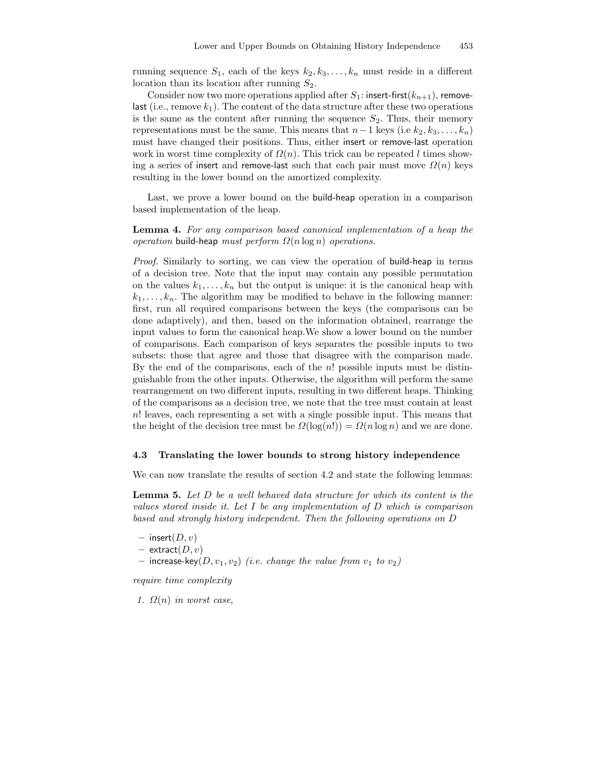running sequence  $S_1$ , each of the keys  $k_2, k_3, \ldots, k_n$  must reside in a different location than its location after running  $S_2$ .

Consider now two more operations applied after  $S_1$ : insert-first $(k_{n+1})$ , removelast (i.e., remove  $k_1$ ). The content of the data structure after these two operations is the same as the content after running the sequence  $S_2$ . Thus, their memory representations must be the same. This means that  $n-1$  keys (i.e  $k_2, k_3, \ldots, k_n$ ) must have changed their positions. Thus, either insert or remove-last operation work in worst time complexity of  $\Omega(n)$ . This trick can be repeated l times showing a series of insert and remove-last such that each pair must move  $\Omega(n)$  keys resulting in the lower bound on the amortized complexity.

Last, we prove a lower bound on the build-heap operation in a comparison based implementation of the heap.

Lemma 4. For any comparison based canonical implementation of a heap the *operation* build-heap must perform  $\Omega(n \log n)$  operations.

Proof. Similarly to sorting, we can view the operation of build-heap in terms of a decision tree. Note that the input may contain any possible permutation on the values  $k_1, \ldots, k_n$  but the output is unique: it is the canonical heap with  $k_1, \ldots, k_n$ . The algorithm may be modified to behave in the following manner: first, run all required comparisons between the keys (the comparisons can be done adaptively), and then, based on the information obtained, rearrange the input values to form the canonical heap.We show a lower bound on the number of comparisons. Each comparison of keys separates the possible inputs to two subsets: those that agree and those that disagree with the comparison made. By the end of the comparisons, each of the  $n!$  possible inputs must be distinguishable from the other inputs. Otherwise, the algorithm will perform the same rearrangement on two different inputs, resulting in two different heaps. Thinking of the comparisons as a decision tree, we note that the tree must contain at least n! leaves, each representing a set with a single possible input. This means that the height of the decision tree must be  $\Omega(\log(n)) = \Omega(n \log n)$  and we are done.

#### 4.3 Translating the lower bounds to strong history independence

We can now translate the results of section 4.2 and state the following lemmas:

**Lemma 5.** Let  $D$  be a well behaved data structure for which its content is the values stored inside it. Let I be any implementation of D which is comparison based and strongly history independent. Then the following operations on D

– insert $(D, v)$ 

- $-$  extract $(D, v)$
- increase-key(D,  $v_1, v_2$ ) (i.e. change the value from  $v_1$  to  $v_2$ )

require time complexity

1.  $\Omega(n)$  in worst case,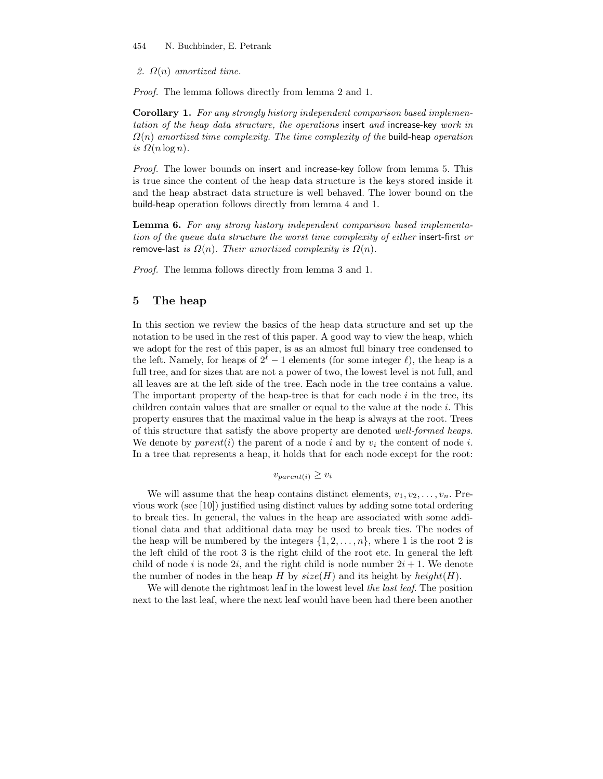454 N. Buchbinder, E. Petrank

2.  $\Omega(n)$  amortized time.

Proof. The lemma follows directly from lemma 2 and 1.

Corollary 1. For any strongly history independent comparison based implementation of the heap data structure, the operations insert and increase-key work in  $\Omega(n)$  amortized time complexity. The time complexity of the build-heap operation is  $\Omega(n \log n)$ .

*Proof.* The lower bounds on insert and increase-key follow from lemma 5. This is true since the content of the heap data structure is the keys stored inside it and the heap abstract data structure is well behaved. The lower bound on the build-heap operation follows directly from lemma 4 and 1.

Lemma 6. For any strong history independent comparison based implementation of the queue data structure the worst time complexity of either insert-first or remove-last is  $\Omega(n)$ . Their amortized complexity is  $\Omega(n)$ .

Proof. The lemma follows directly from lemma 3 and 1.

## 5 The heap

In this section we review the basics of the heap data structure and set up the notation to be used in the rest of this paper. A good way to view the heap, which we adopt for the rest of this paper, is as an almost full binary tree condensed to the left. Namely, for heaps of  $2^{\ell} - 1$  elements (for some integer  $\ell$ ), the heap is a full tree, and for sizes that are not a power of two, the lowest level is not full, and all leaves are at the left side of the tree. Each node in the tree contains a value. The important property of the heap-tree is that for each node  $i$  in the tree, its children contain values that are smaller or equal to the value at the node i. This property ensures that the maximal value in the heap is always at the root. Trees of this structure that satisfy the above property are denoted well-formed heaps. We denote by  $parent(i)$  the parent of a node i and by  $v_i$  the content of node i. In a tree that represents a heap, it holds that for each node except for the root:

# $v_{parent(i)} \geq v_i$

We will assume that the heap contains distinct elements,  $v_1, v_2, \ldots, v_n$ . Previous work (see [10]) justified using distinct values by adding some total ordering to break ties. In general, the values in the heap are associated with some additional data and that additional data may be used to break ties. The nodes of the heap will be numbered by the integers  $\{1, 2, \ldots, n\}$ , where 1 is the root 2 is the left child of the root 3 is the right child of the root etc. In general the left child of node i is node 2i, and the right child is node number  $2i + 1$ . We denote the number of nodes in the heap H by  $size(H)$  and its height by  $height(H)$ .

We will denote the rightmost leaf in the lowest level the last leaf. The position next to the last leaf, where the next leaf would have been had there been another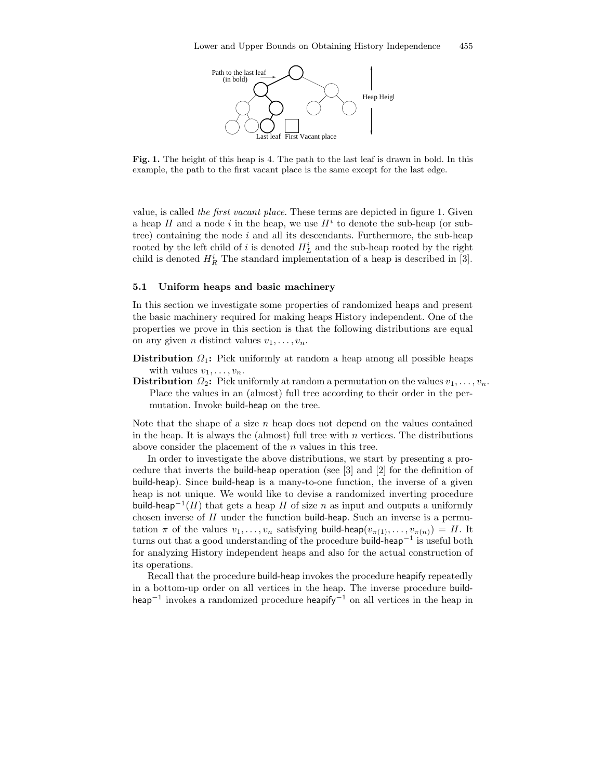

Fig. 1. The height of this heap is 4. The path to the last leaf is drawn in bold. In this example, the path to the first vacant place is the same except for the last edge.

value, is called the first vacant place. These terms are depicted in figure 1. Given a heap  $H$  and a node i in the heap, we use  $H<sup>i</sup>$  to denote the sub-heap (or subtree) containing the node  $i$  and all its descendants. Furthermore, the sub-heap rooted by the left child of i is denoted  $H_L^i$  and the sub-heap rooted by the right child is denoted  $H_R^i$ . The standard implementation of a heap is described in [3].

#### 5.1 Uniform heaps and basic machinery

In this section we investigate some properties of randomized heaps and present the basic machinery required for making heaps History independent. One of the properties we prove in this section is that the following distributions are equal on any given *n* distinct values  $v_1, \ldots, v_n$ .

Distribution  $\Omega_1$ : Pick uniformly at random a heap among all possible heaps with values  $v_1, \ldots, v_n$ .

**Distribution**  $\Omega_2$ : Pick uniformly at random a permutation on the values  $v_1, \ldots, v_n$ . Place the values in an (almost) full tree according to their order in the permutation. Invoke build-heap on the tree.

Note that the shape of a size  $n$  heap does not depend on the values contained in the heap. It is always the (almost) full tree with  $n$  vertices. The distributions above consider the placement of the n values in this tree.

In order to investigate the above distributions, we start by presenting a procedure that inverts the build-heap operation (see [3] and [2] for the definition of build-heap). Since build-heap is a many-to-one function, the inverse of a given heap is not unique. We would like to devise a randomized inverting procedure build-heap<sup>-1</sup>(H) that gets a heap H of size n as input and outputs a uniformly chosen inverse of  $H$  under the function build-heap. Such an inverse is a permutation  $\pi$  of the values  $v_1, \ldots, v_n$  satisfying build-heap $(v_{\pi(1)}, \ldots, v_{\pi(n)}) = H$ . It turns out that a good understanding of the procedure build-heap<sup>-1</sup> is useful both for analyzing History independent heaps and also for the actual construction of its operations.

Recall that the procedure build-heap invokes the procedure heapify repeatedly in a bottom-up order on all vertices in the heap. The inverse procedure buildheap<sup>-1</sup> invokes a randomized procedure heapify<sup>-1</sup> on all vertices in the heap in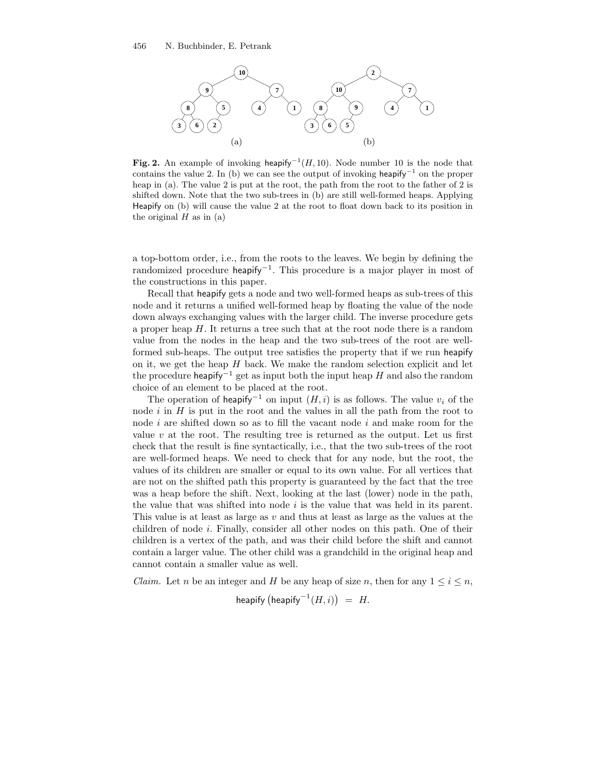

Fig. 2. An example of invoking heapify<sup>-1</sup>( $H$ , 10). Node number 10 is the node that contains the value 2. In (b) we can see the output of invoking heapify<sup>-1</sup> on the proper heap in (a). The value 2 is put at the root, the path from the root to the father of 2 is shifted down. Note that the two sub-trees in (b) are still well-formed heaps. Applying Heapify on (b) will cause the value 2 at the root to float down back to its position in the original  $H$  as in (a)

a top-bottom order, i.e., from the roots to the leaves. We begin by defining the randomized procedure heapify<sup>-1</sup>. This procedure is a major player in most of the constructions in this paper.

Recall that heapify gets a node and two well-formed heaps as sub-trees of this node and it returns a unified well-formed heap by floating the value of the node down always exchanging values with the larger child. The inverse procedure gets a proper heap  $H$ . It returns a tree such that at the root node there is a random value from the nodes in the heap and the two sub-trees of the root are wellformed sub-heaps. The output tree satisfies the property that if we run heapify on it, we get the heap  $H$  back. We make the random selection explicit and let the procedure heapify<sup>-1</sup> get as input both the input heap H and also the random choice of an element to be placed at the root.

The operation of heapify<sup>-1</sup> on input  $(H, i)$  is as follows. The value  $v_i$  of the node  $i$  in  $H$  is put in the root and the values in all the path from the root to node i are shifted down so as to fill the vacant node i and make room for the value  $v$  at the root. The resulting tree is returned as the output. Let us first check that the result is fine syntactically, i.e., that the two sub-trees of the root are well-formed heaps. We need to check that for any node, but the root, the values of its children are smaller or equal to its own value. For all vertices that are not on the shifted path this property is guaranteed by the fact that the tree was a heap before the shift. Next, looking at the last (lower) node in the path, the value that was shifted into node  $i$  is the value that was held in its parent. This value is at least as large as  $v$  and thus at least as large as the values at the children of node i. Finally, consider all other nodes on this path. One of their children is a vertex of the path, and was their child before the shift and cannot contain a larger value. The other child was a grandchild in the original heap and cannot contain a smaller value as well.

*Claim.* Let n be an integer and H be any heap of size n, then for any  $1 \leq i \leq n$ .

$$
\mathsf{heapify}\left(\mathsf{heapify}^{-1}(H, i)\right) = H.
$$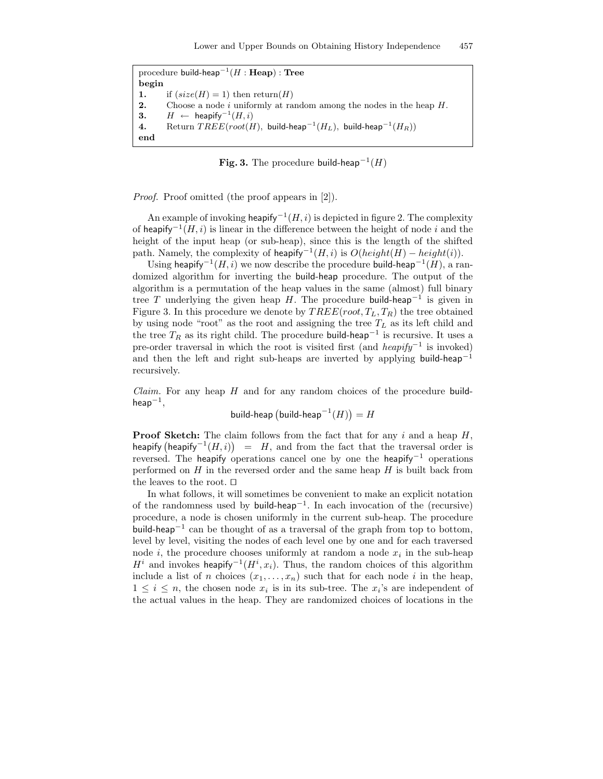$\operatorname{procedure}$  build-heap $^{-1}(H:\textbf{Heap}) : \textbf{Tree}$ begin 1. if  $(size(H) = 1)$  then return $(H)$ 2. Choose a node i uniformly at random among the nodes in the heap  $H$ . 3.  $H$  ← heapify $^{-1}(H,i)$ 4. Return  $TREE(root(H),$  build-heap<sup>-1</sup> $(H_L),$  build-heap<sup>-1</sup> $(H_R))$ end

Fig. 3. The procedure build-heap<sup>-1</sup> $(H)$ 

Proof. Proof omitted (the proof appears in [2]).

An example of invoking heapify $^{-1}(H,i)$  is depicted in figure 2. The complexity of heapify<sup>-1</sup>( $H, i$ ) is linear in the difference between the height of node i and the height of the input heap (or sub-heap), since this is the length of the shifted path. Namely, the complexity of heapify<sup>-1</sup>( $H, i$ ) is  $O(height(H) - height(i))$ .

Using heapify<sup>-1</sup>( $H, i$ ) we now describe the procedure build-heap<sup>-1</sup>( $H$ ), a randomized algorithm for inverting the build-heap procedure. The output of the algorithm is a permutation of the heap values in the same (almost) full binary tree T underlying the given heap H. The procedure build-heap<sup>-1</sup> is given in Figure 3. In this procedure we denote by  $TREE(root, T_L, T_R)$  the tree obtained by using node "root" as the root and assigning the tree  $T_L$  as its left child and the tree  $T_R$  as its right child. The procedure build-heap<sup>-1</sup> is recursive. It uses a pre-order traversal in which the root is visited first (and heapify<sup>-1</sup> is invoked) and then the left and right sub-heaps are inverted by applying build-heap<sup>-1</sup> recursively.

*Claim.* For any heap  $H$  and for any random choices of the procedure build- ${\sf heap}^{-1},$ 

build-heap ¡ build-heap<sup>−</sup><sup>1</sup> (H) ¢ = H

**Proof Sketch:** The claim follows from the fact that for any  $i$  and a heap  $H$ , heapify  $($ heapify<sup>-1</sup> $(H,i)$  = H, and from the fact that the traversal order is reversed. The heapify operations cancel one by one the heapify<sup>−</sup><sup>1</sup> operations performed on  $H$  in the reversed order and the same heap  $H$  is built back from the leaves to the root.  $\Box$ 

In what follows, it will sometimes be convenient to make an explicit notation of the randomness used by build-heap<sup>-1</sup>. In each invocation of the (recursive) procedure, a node is chosen uniformly in the current sub-heap. The procedure build-heap−<sup>1</sup> can be thought of as a traversal of the graph from top to bottom, level by level, visiting the nodes of each level one by one and for each traversed node *i*, the procedure chooses uniformly at random a node  $x_i$  in the sub-heap  $H^i$  and invokes heapify<sup>-1</sup>( $H^i$ ,  $x_i$ ). Thus, the random choices of this algorithm include a list of n choices  $(x_1, \ldots, x_n)$  such that for each node i in the heap,  $1 \leq i \leq n$ , the chosen node  $x_i$  is in its sub-tree. The  $x_i$ 's are independent of the actual values in the heap. They are randomized choices of locations in the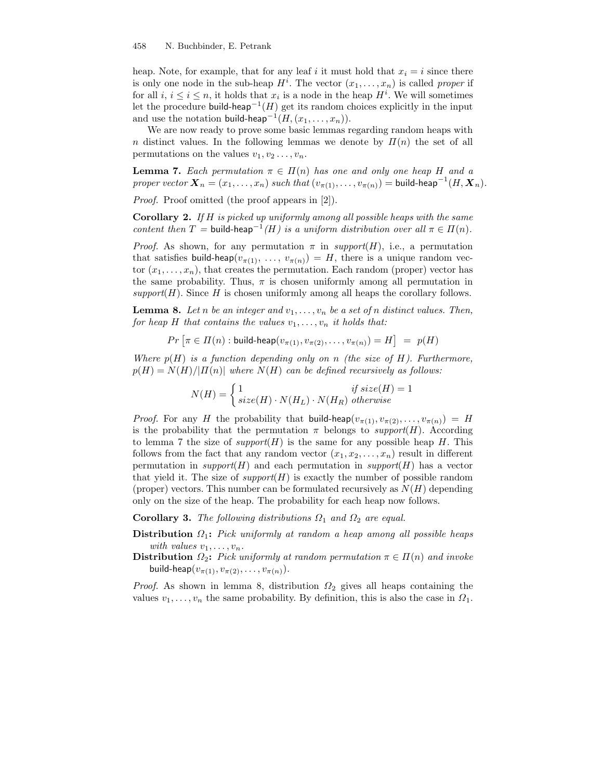heap. Note, for example, that for any leaf i it must hold that  $x_i = i$  since there is only one node in the sub-heap  $H^i$ . The vector  $(x_1, \ldots, x_n)$  is called proper if for all  $i, i \leq i \leq n$ , it holds that  $x_i$  is a node in the heap  $H^i$ . We will sometimes let the procedure build-heap<sup>-1</sup>( $H$ ) get its random choices explicitly in the input and use the notation build-heap<sup>-1</sup> $(H,(x_1,\ldots,x_n)).$ 

We are now ready to prove some basic lemmas regarding random heaps with n distinct values. In the following lemmas we denote by  $\Pi(n)$  the set of all permutations on the values  $v_1, v_2 \ldots, v_n$ .

**Lemma 7.** Each permutation  $\pi \in \Pi(n)$  has one and only one heap H and a proper vector  $\mathbf{X}_n = (x_1, \ldots, x_n)$  such that  $(v_{\pi(1)}, \ldots, v_{\pi(n)}) =$  build-heap<sup>-1</sup> $(H, \mathbf{X}_n)$ .

Proof. Proof omitted (the proof appears in [2]).

Corollary 2. If H is picked up uniformly among all possible heaps with the same content then  $T =$  build-heap<sup>-1</sup>(H) is a uniform distribution over all  $\pi \in \Pi(n)$ .

*Proof.* As shown, for any permutation  $\pi$  in support(H), i.e., a permutation that satisfies build-heap $(v_{\pi(1)}, \ldots, v_{\pi(n)}) = H$ , there is a unique random vector  $(x_1, \ldots, x_n)$ , that creates the permutation. Each random (proper) vector has the same probability. Thus,  $\pi$  is chosen uniformly among all permutation in support $(H)$ . Since H is chosen uniformly among all heaps the corollary follows.

**Lemma 8.** Let n be an integer and  $v_1, \ldots, v_n$  be a set of n distinct values. Then, for heap H that contains the values  $v_1, \ldots, v_n$  it holds that:

$$
Pr\left[\pi \in \Pi(n) : \text{build-heap}(v_{\pi(1)}, v_{\pi(2)}, \dots, v_{\pi(n)}) = H\right] = p(H)
$$

Where  $p(H)$  is a function depending only on n (the size of H). Furthermore,  $p(H) = N(H)/|H(n)|$  where  $N(H)$  can be defined recursively as follows:

$$
N(H) = \left\{ \begin{aligned} 1 & \quad if \; size(H) = 1 \\ size(H) \cdot N(H_L) \cdot N(H_R) & \; otherwise \end{aligned} \right.
$$

*Proof.* For any H the probability that build-heap $(v_{\pi(1)}, v_{\pi(2)}, \ldots, v_{\pi(n)}) = H$ is the probability that the permutation  $\pi$  belongs to *support*(*H*). According to lemma 7 the size of  $support(H)$  is the same for any possible heap H. This follows from the fact that any random vector  $(x_1, x_2, \ldots, x_n)$  result in different permutation in support(H) and each permutation in support(H) has a vector that yield it. The size of *support* $(H)$  is exactly the number of possible random (proper) vectors. This number can be formulated recursively as  $N(H)$  depending only on the size of the heap. The probability for each heap now follows.

Corollary 3. The following distributions  $\Omega_1$  and  $\Omega_2$  are equal.

- Distribution  $\Omega_1$ : Pick uniformly at random a heap among all possible heaps with values  $v_1, \ldots, v_n$ .
- Distribution  $\Omega_2$ : Pick uniformly at random permutation  $\pi \in \Pi(n)$  and invoke build-heap $(v_{\pi(1)}, v_{\pi(2)}, \ldots, v_{\pi(n)})$ .

*Proof.* As shown in lemma 8, distribution  $\Omega_2$  gives all heaps containing the values  $v_1, \ldots, v_n$  the same probability. By definition, this is also the case in  $\Omega_1$ .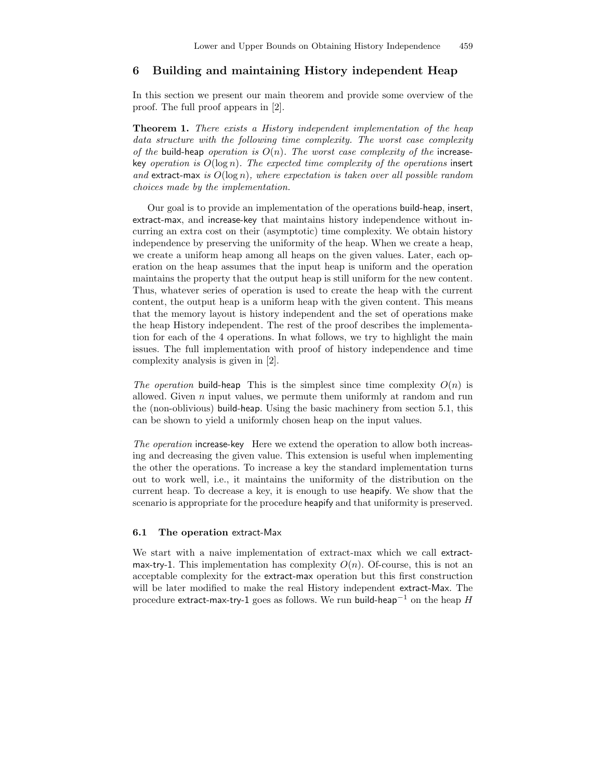## 6 Building and maintaining History independent Heap

In this section we present our main theorem and provide some overview of the proof. The full proof appears in [2].

Theorem 1. There exists a History independent implementation of the heap data structure with the following time complexity. The worst case complexity of the build-heap operation is  $O(n)$ . The worst case complexity of the increasekey operation is  $O(\log n)$ . The expected time complexity of the operations insert and extract-max is  $O(\log n)$ , where expectation is taken over all possible random choices made by the implementation.

Our goal is to provide an implementation of the operations build-heap, insert, extract-max, and increase-key that maintains history independence without incurring an extra cost on their (asymptotic) time complexity. We obtain history independence by preserving the uniformity of the heap. When we create a heap, we create a uniform heap among all heaps on the given values. Later, each operation on the heap assumes that the input heap is uniform and the operation maintains the property that the output heap is still uniform for the new content. Thus, whatever series of operation is used to create the heap with the current content, the output heap is a uniform heap with the given content. This means that the memory layout is history independent and the set of operations make the heap History independent. The rest of the proof describes the implementation for each of the 4 operations. In what follows, we try to highlight the main issues. The full implementation with proof of history independence and time complexity analysis is given in [2].

The operation build-heap This is the simplest since time complexity  $O(n)$  is allowed. Given  $n$  input values, we permute them uniformly at random and run the (non-oblivious) build-heap. Using the basic machinery from section 5.1, this can be shown to yield a uniformly chosen heap on the input values.

The operation increase-key Here we extend the operation to allow both increasing and decreasing the given value. This extension is useful when implementing the other the operations. To increase a key the standard implementation turns out to work well, i.e., it maintains the uniformity of the distribution on the current heap. To decrease a key, it is enough to use heapify. We show that the scenario is appropriate for the procedure heapify and that uniformity is preserved.

## 6.1 The operation extract-Max

We start with a naive implementation of extract-max which we call extractmax-try-1. This implementation has complexity  $O(n)$ . Of-course, this is not an acceptable complexity for the extract-max operation but this first construction will be later modified to make the real History independent extract-Max. The procedure extract-max-try-1 goes as follows. We run build-heap<sup>-1</sup> on the heap H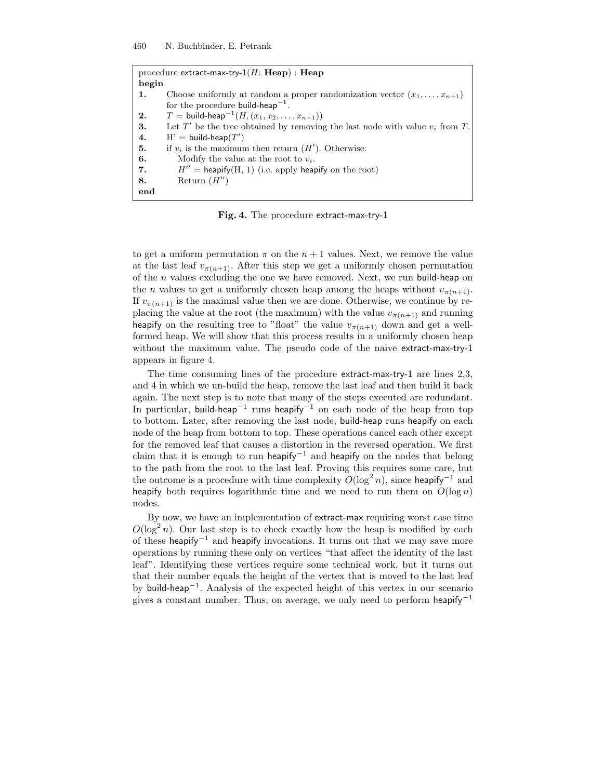|       | procedure extract-max-try- $1(H: \text{Heap}) : \text{Heap}$                      |
|-------|-----------------------------------------------------------------------------------|
| begin |                                                                                   |
| 1.    | Choose uniformly at random a proper randomization vector $(x_1, \ldots, x_{n+1})$ |
|       | for the procedure build-heap <sup>-1</sup> .                                      |
| 2.    | $T =$ build-heap <sup>-1</sup> $(H, (x_1, x_2, \ldots, x_{n+1}))$                 |
| 3.    | Let T' be the tree obtained by removing the last node with value $v_i$ from T.    |
| 4.    | $H' =$ build-heap $(T')$                                                          |
| 5.    | if $v_i$ is the maximum then return $(H')$ . Otherwise:                           |
| 6.    | Modify the value at the root to $v_i$ .                                           |
| 7.    | $H'' =$ heapify(H, 1) (i.e. apply heapify on the root)                            |
| 8.    | Return $(H'')$                                                                    |
| end   |                                                                                   |

Fig. 4. The procedure extract-max-try-1

to get a uniform permutation  $\pi$  on the  $n + 1$  values. Next, we remove the value at the last leaf  $v_{\pi(n+1)}$ . After this step we get a uniformly chosen permutation of the  $n$  values excluding the one we have removed. Next, we run build-heap on the *n* values to get a uniformly chosen heap among the heaps without  $v_{\pi(n+1)}$ . If  $v_{\pi(n+1)}$  is the maximal value then we are done. Otherwise, we continue by replacing the value at the root (the maximum) with the value  $v_{\pi(n+1)}$  and running heapify on the resulting tree to "float" the value  $v_{\pi(n+1)}$  down and get a wellformed heap. We will show that this process results in a uniformly chosen heap without the maximum value. The pseudo code of the naive extract-max-try-1 appears in figure 4.

The time consuming lines of the procedure extract-max-try-1 are lines 2,3, and 4 in which we un-build the heap, remove the last leaf and then build it back again. The next step is to note that many of the steps executed are redundant. In particular, build-heap<sup>−</sup><sup>1</sup> runs heapify<sup>−</sup><sup>1</sup> on each node of the heap from top to bottom. Later, after removing the last node, build-heap runs heapify on each node of the heap from bottom to top. These operations cancel each other except for the removed leaf that causes a distortion in the reversed operation. We first claim that it is enough to run heapify<sup>-1</sup> and heapify on the nodes that belong to the path from the root to the last leaf. Proving this requires some care, but the outcome is a procedure with time complexity  $O(\log^2 n)$ , since heapify<sup>-1</sup> and heapify both requires logarithmic time and we need to run them on  $O(\log n)$ nodes.

By now, we have an implementation of extract-max requiring worst case time  $O(\log^2 n)$ . Our last step is to check exactly how the heap is modified by each of these heapify<sup>-1</sup> and heapify invocations. It turns out that we may save more operations by running these only on vertices "that affect the identity of the last leaf". Identifying these vertices require some technical work, but it turns out that their number equals the height of the vertex that is moved to the last leaf by build-heap<sup>−</sup><sup>1</sup> . Analysis of the expected height of this vertex in our scenario gives a constant number. Thus, on average, we only need to perform heapify<sup> $-1$ </sup>